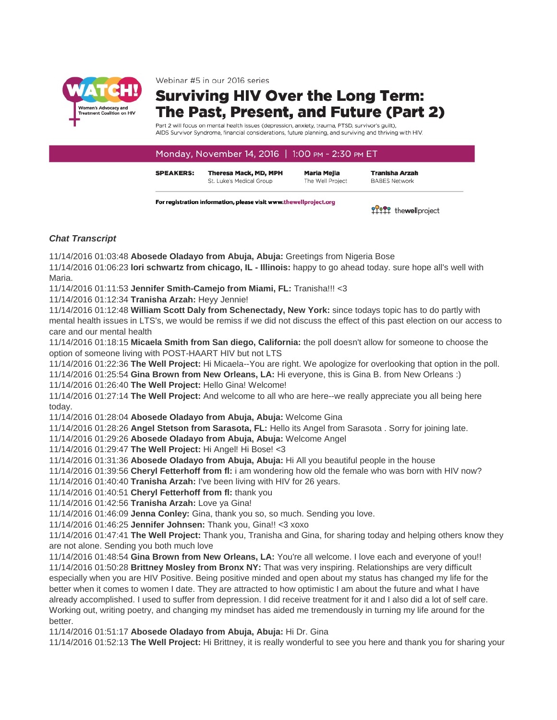

Webinar #5 in our 2016 series

## **Surviving HIV Over the Long Term:** The Past, Present, and Future (Part 2)

Part 2 will focus on mental health issues (depression, anxiety, trauma, PTSD, survivor's guilt), AIDS Survivor Syndrome, financial considerations, future planning, and surviving and thriving with HIV.

## Monday, November 14, 2016 | 1:00 PM - 2:30 PM ET

**SPEAKERS: Theresa Mack, MD, MPH** St. Luke's Medical Group

**Maria Meila** The Well Project

**Tranisha Arzah BABES Network** 

For registration information, please visit www.thewellproject.org

97999 thewell project

## *Chat Transcript*

11/14/2016 01:03:48 **Abosede Oladayo from Abuja, Abuja:** Greetings from Nigeria Bose

11/14/2016 01:06:23 **lori schwartz from chicago, IL - Illinois:** happy to go ahead today. sure hope all's well with Maria.

11/14/2016 01:11:53 **Jennifer Smith-Camejo from Miami, FL:** Tranisha!!! <3

11/14/2016 01:12:34 **Tranisha Arzah:** Heyy Jennie!

11/14/2016 01:12:48 **William Scott Daly from Schenectady, New York:** since todays topic has to do partly with mental health issues in LTS's, we would be remiss if we did not discuss the effect of this past election on our access to care and our mental health

11/14/2016 01:18:15 **Micaela Smith from San diego, California:** the poll doesn't allow for someone to choose the option of someone living with POST-HAART HIV but not LTS

11/14/2016 01:22:36 **The Well Project:** Hi Micaela--You are right. We apologize for overlooking that option in the poll.

11/14/2016 01:25:54 **Gina Brown from New Orleans, LA:** Hi everyone, this is Gina B. from New Orleans :)

11/14/2016 01:26:40 **The Well Project:** Hello Gina! Welcome!

11/14/2016 01:27:14 **The Well Project:** And welcome to all who are here--we really appreciate you all being here today.

11/14/2016 01:28:04 **Abosede Oladayo from Abuja, Abuja:** Welcome Gina

11/14/2016 01:28:26 **Angel Stetson from Sarasota, FL:** Hello its Angel from Sarasota . Sorry for joining late.

11/14/2016 01:29:26 **Abosede Oladayo from Abuja, Abuja:** Welcome Angel

11/14/2016 01:29:47 **The Well Project:** Hi Angel! Hi Bose! <3

11/14/2016 01:31:36 **Abosede Oladayo from Abuja, Abuja:** Hi All you beautiful people in the house

11/14/2016 01:39:56 **Cheryl Fetterhoff from fl:** i am wondering how old the female who was born with HIV now?

11/14/2016 01:40:40 **Tranisha Arzah:** I've been living with HIV for 26 years.

11/14/2016 01:40:51 **Cheryl Fetterhoff from fl:** thank you

11/14/2016 01:42:56 **Tranisha Arzah:** Love ya Gina!

11/14/2016 01:46:09 **Jenna Conley:** Gina, thank you so, so much. Sending you love.

11/14/2016 01:46:25 **Jennifer Johnsen:** Thank you, Gina!! <3 xoxo

11/14/2016 01:47:41 **The Well Project:** Thank you, Tranisha and Gina, for sharing today and helping others know they are not alone. Sending you both much love

11/14/2016 01:48:54 **Gina Brown from New Orleans, LA:** You're all welcome. I love each and everyone of you!! 11/14/2016 01:50:28 **Brittney Mosley from Bronx NY:** That was very inspiring. Relationships are very difficult especially when you are HIV Positive. Being positive minded and open about my status has changed my life for the better when it comes to women I date. They are attracted to how optimistic I am about the future and what I have already accomplished. I used to suffer from depression. I did receive treatment for it and I also did a lot of self care. Working out, writing poetry, and changing my mindset has aided me tremendously in turning my life around for the better.

11/14/2016 01:51:17 **Abosede Oladayo from Abuja, Abuja:** Hi Dr. Gina

11/14/2016 01:52:13 **The Well Project:** Hi Brittney, it is really wonderful to see you here and thank you for sharing your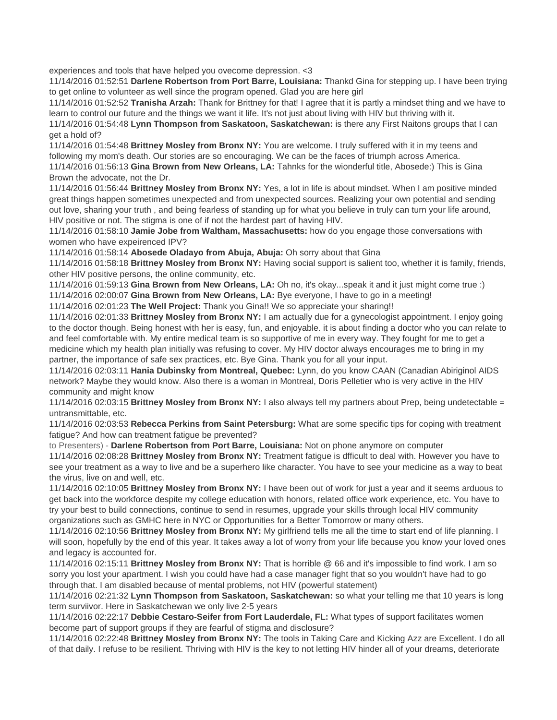experiences and tools that have helped you ovecome depression. <3

11/14/2016 01:52:51 **Darlene Robertson from Port Barre, Louisiana:** Thankd Gina for stepping up. I have been trying to get online to volunteer as well since the program opened. Glad you are here girl

11/14/2016 01:52:52 **Tranisha Arzah:** Thank for Brittney for that! I agree that it is partly a mindset thing and we have to learn to control our future and the things we want it life. It's not just about living with HIV but thriving with it.

11/14/2016 01:54:48 **Lynn Thompson from Saskatoon, Saskatchewan:** is there any First Naitons groups that I can get a hold of?

11/14/2016 01:54:48 **Brittney Mosley from Bronx NY:** You are welcome. I truly suffered with it in my teens and following my mom's death. Our stories are so encouraging. We can be the faces of triumph across America. 11/14/2016 01:56:13 **Gina Brown from New Orleans, LA:** Tahnks for the wionderful title, Abosede:) This is Gina Brown the advocate, not the Dr.

11/14/2016 01:56:44 **Brittney Mosley from Bronx NY:** Yes, a lot in life is about mindset. When I am positive minded great things happen sometimes unexpected and from unexpected sources. Realizing your own potential and sending out love, sharing your truth , and being fearless of standing up for what you believe in truly can turn your life around, HIV positive or not. The stigma is one of if not the hardest part of having HIV.

11/14/2016 01:58:10 **Jamie Jobe from Waltham, Massachusetts:** how do you engage those conversations with women who have expeirenced IPV?

11/14/2016 01:58:14 **Abosede Oladayo from Abuja, Abuja:** Oh sorry about that Gina

11/14/2016 01:58:18 **Brittney Mosley from Bronx NY:** Having social support is salient too, whether it is family, friends, other HIV positive persons, the online community, etc.

11/14/2016 01:59:13 **Gina Brown from New Orleans, LA:** Oh no, it's okay...speak it and it just might come true :)

11/14/2016 02:00:07 **Gina Brown from New Orleans, LA:** Bye everyone, I have to go in a meeting!

11/14/2016 02:01:23 **The Well Project:** Thank you Gina!! We so appreciate your sharing!!

11/14/2016 02:01:33 **Brittney Mosley from Bronx NY:** I am actually due for a gynecologist appointment. I enjoy going to the doctor though. Being honest with her is easy, fun, and enjoyable. it is about finding a doctor who you can relate to and feel comfortable with. My entire medical team is so supportive of me in every way. They fought for me to get a medicine which my health plan initially was refusing to cover. My HIV doctor always encourages me to bring in my partner, the importance of safe sex practices, etc. Bye Gina. Thank you for all your input.

11/14/2016 02:03:11 **Hania Dubinsky from Montreal, Quebec:** Lynn, do you know CAAN (Canadian Abiriginol AIDS network? Maybe they would know. Also there is a woman in Montreal, Doris Pelletier who is very active in the HIV community and might know

11/14/2016 02:03:15 **Brittney Mosley from Bronx NY:** I also always tell my partners about Prep, being undetectable = untransmittable, etc.

11/14/2016 02:03:53 **Rebecca Perkins from Saint Petersburg:** What are some specific tips for coping with treatment fatigue? And how can treatment fatigue be prevented?

to Presenters) - **Darlene Robertson from Port Barre, Louisiana:** Not on phone anymore on computer

11/14/2016 02:08:28 **Brittney Mosley from Bronx NY:** Treatment fatigue is dfficult to deal with. However you have to see your treatment as a way to live and be a superhero like character. You have to see your medicine as a way to beat the virus, live on and well, etc.

11/14/2016 02:10:05 **Brittney Mosley from Bronx NY:** I have been out of work for just a year and it seems arduous to get back into the workforce despite my college education with honors, related office work experience, etc. You have to try your best to build connections, continue to send in resumes, upgrade your skills through local HIV community organizations such as GMHC here in NYC or Opportunities for a Better Tomorrow or many others.

11/14/2016 02:10:56 **Brittney Mosley from Bronx NY:** My girlfriend tells me all the time to start end of life planning. I will soon, hopefully by the end of this year. It takes away a lot of worry from your life because you know your loved ones and legacy is accounted for.

11/14/2016 02:15:11 **Brittney Mosley from Bronx NY:** That is horrible @ 66 and it's impossible to find work. I am so sorry you lost your apartment. I wish you could have had a case manager fight that so you wouldn't have had to go through that. I am disabled because of mental problems, not HIV (powerful statement)

11/14/2016 02:21:32 **Lynn Thompson from Saskatoon, Saskatchewan:** so what your telling me that 10 years is long term surviivor. Here in Saskatchewan we only live 2-5 years

11/14/2016 02:22:17 **Debbie Cestaro-Seifer from Fort Lauderdale, FL:** What types of support facilitates women become part of support groups if they are fearful of stigma and disclosure?

11/14/2016 02:22:48 **Brittney Mosley from Bronx NY:** The tools in Taking Care and Kicking Azz are Excellent. I do all of that daily. I refuse to be resilient. Thriving with HIV is the key to not letting HIV hinder all of your dreams, deteriorate